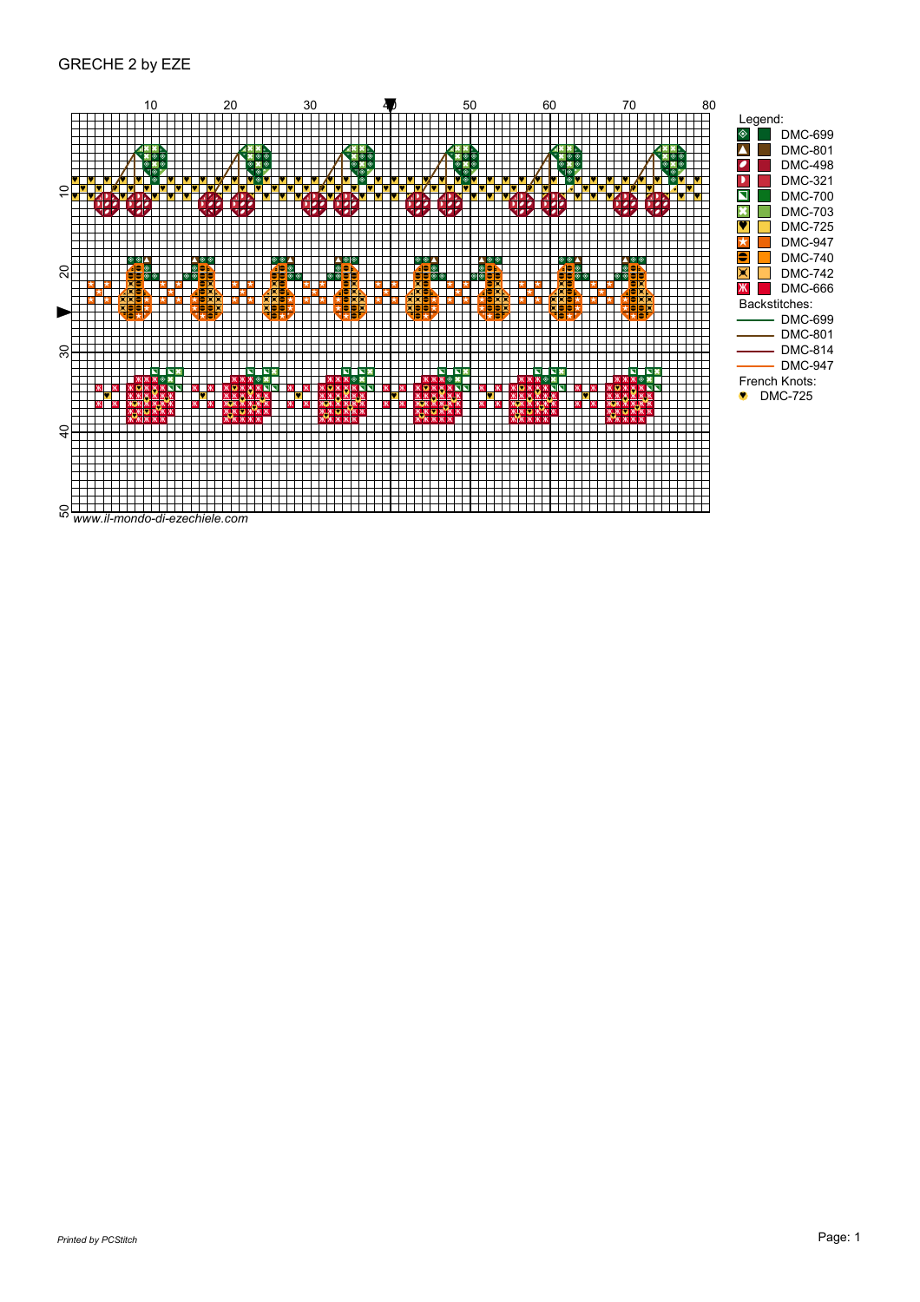